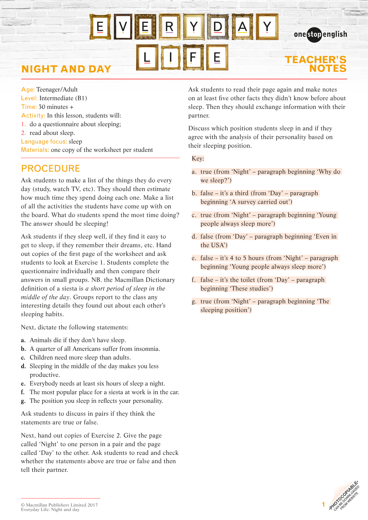## **NIGHT AND DAY**

Age: Teenager/Adult Level: Intermediate (B1) Time: 30 minutes + Activity: In this lesson, students will: 1. do a questionnaire about sleeping; 2. read about sleep. Language focus: sleep Materials: one copy of the worksheet per student

### PROCEDURE

Ask students to make a list of the things they do every day (study, watch TV, etc). They should then estimate how much time they spend doing each one. Make a list of all the activities the students have come up with on the board. What do students spend the most time doing? The answer should be sleeping!

Ask students if they sleep well, if they find it easy to get to sleep, if they remember their dreams, etc. Hand out copies of the first page of the worksheet and ask students to look at Exercise 1. Students complete the questionnaire individually and then compare their answers in small groups. NB. the Macmillan Dictionary definition of a siesta is *a short period of sleep in the middle of the day*. Groups report to the class any interesting details they found out about each other's sleeping habits.

Next, dictate the following statements:

- **a.** Animals die if they don't have sleep.
- **b.** A quarter of all Americans suffer from insomnia.
- **c.** Children need more sleep than adults.
- **d.** Sleeping in the middle of the day makes you less productive.
- **e.** Everybody needs at least six hours of sleep a night.
- **f.** The most popular place for a siesta at work is in the car.
- **g.** The position you sleep in reflects your personality.

Ask students to discuss in pairs if they think the statements are true or false.

Next, hand out copies of Exercise 2. Give the page called 'Night' to one person in a pair and the page called 'Day' to the other. Ask students to read and check whether the statements above are true or false and then tell their partner.

Ask students to read their page again and make notes on at least five other facts they didn't know before about sleep. Then they should exchange information with their partner.

**TEACHER'S** 

onestopenalish

Discuss which position students sleep in and if they agree with the analysis of their personality based on their sleeping position.

Key:

- a. true (from 'Night' paragraph beginning 'Why do we sleep?')
- b. false it's a third (from 'Day' paragraph beginning 'A survey carried out')
- c. true (from 'Night' paragraph beginning 'Young people always sleep more')
- d. false (from 'Day' paragraph beginning 'Even in the USA')
- e. false it's 4 to 5 hours (from 'Night' paragraph beginning 'Young people always sleep more')
- f. false it's the toilet (from 'Day' paragraph beginning 'These studies')
- g. true (from 'Night' paragraph beginning 'The sleeping position')



<sup>©</sup> Macmillan Publishers Limited 2017 Everyday Life: Night and day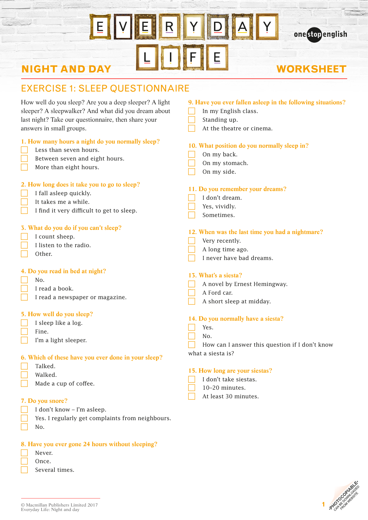### İΕ Y  $\overline{\mathbf{R}}$  $\overline{\mathsf{A}}$  $E_{\parallel}$ Y E  $\mathbf{r}$

# **NIGHT AND DAY**

### **WORKSHEET**

onestopenglish

### EXERCISE 1: SLEEP QUESTIONNAIRE

| How well do you sleep? Are you a deep sleeper? A light                                                                 | 9. Have you ever fallen asleep in the following situations?                                                              |
|------------------------------------------------------------------------------------------------------------------------|--------------------------------------------------------------------------------------------------------------------------|
| sleeper? A sleepwalker? And what did you dream about                                                                   | In my English class.                                                                                                     |
| last night? Take our questionnaire, then share your                                                                    | Standing up.                                                                                                             |
| answers in small groups.                                                                                               | At the theatre or cinema.                                                                                                |
| 1. How many hours a night do you normally sleep?                                                                       | 10. What position do you normally sleep in?                                                                              |
| Less than seven hours.                                                                                                 | On my back.                                                                                                              |
| Between seven and eight hours.                                                                                         | On my stomach.                                                                                                           |
| More than eight hours.                                                                                                 | On my side.                                                                                                              |
| 2. How long does it take you to go to sleep?                                                                           | 11. Do you remember your dreams?                                                                                         |
| I fall asleep quickly.                                                                                                 | I don't dream.                                                                                                           |
| It takes me a while.                                                                                                   | Yes, vividly.                                                                                                            |
| I find it very difficult to get to sleep.                                                                              | Sometimes.                                                                                                               |
| 3. What do you do if you can't sleep?                                                                                  | 12. When was the last time you had a nightmare?                                                                          |
| I count sheep.                                                                                                         | Very recently.                                                                                                           |
| I listen to the radio.                                                                                                 | A long time ago.                                                                                                         |
| Other.                                                                                                                 | I never have bad dreams.                                                                                                 |
| 4. Do you read in bed at night?                                                                                        | 13. What's a siesta?                                                                                                     |
| No.                                                                                                                    | A novel by Ernest Hemingway.                                                                                             |
| I read a book.                                                                                                         | A Ford car.                                                                                                              |
| I read a newspaper or magazine.                                                                                        | A short sleep at midday.                                                                                                 |
| 5. How well do you sleep?<br>I sleep like a log.<br>Fine.<br>I'm a light sleeper.                                      | 14. Do you normally have a siesta?<br>Yes.<br>No.<br>How can I answer this question if I don't know<br>what a siesta is? |
| 6. Which of these have you ever done in your sleep?<br>Talked.<br>Walked.<br>Made a cup of coffee.<br>7. Do you snore? | 15. How long are your siestas?<br>I don't take siestas.<br>10-20 minutes.<br>At least 30 minutes.                        |
| I don't know - I'm asleep.                                                                                             |                                                                                                                          |



Several times.

No.

 Never. Once.

Yes. I regularly get complaints from neighbours.

**8. Have you ever gone 24 hours without sleeping?**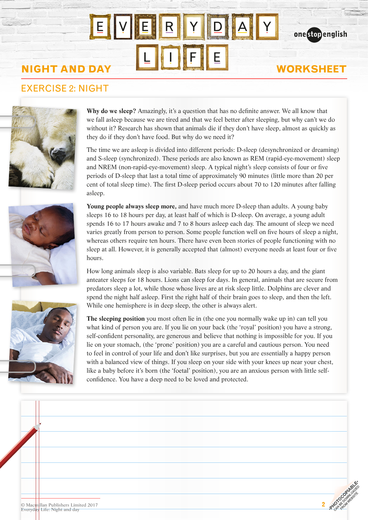# **NIGHT AND DAY WORKSHEET**

### EXERCISE 2: NIGHT







**Why do we sleep?** Amazingly, it's a question that has no definite answer. We all know that we fall asleep because we are tired and that we feel better after sleeping, but why can't we do without it? Research has shown that animals die if they don't have sleep, almost as quickly as they do if they don't have food. But why do we need it?

onestopenglish

The time we are asleep is divided into different periods: D-sleep (desynchronized or dreaming) and S-sleep (synchronized). These periods are also known as REM (rapid-eye-movement) sleep and NREM (non-rapid-eye-movement) sleep. A typical night's sleep consists of four or five periods of D-sleep that last a total time of approximately 90 minutes (little more than 20 per cent of total sleep time). The first D-sleep period occurs about 70 to 120 minutes after falling asleep.

**Young people always sleep more,** and have much more D-sleep than adults. A young baby sleeps 16 to 18 hours per day, at least half of which is D-sleep. On average, a young adult spends 16 to 17 hours awake and 7 to 8 hours asleep each day. The amount of sleep we need varies greatly from person to person. Some people function well on five hours of sleep a night, whereas others require ten hours. There have even been stories of people functioning with no sleep at all. However, it is generally accepted that (almost) everyone needs at least four or five hours.

How long animals sleep is also variable. Bats sleep for up to 20 hours a day, and the giant anteater sleeps for 18 hours. Lions can sleep for days. In general, animals that are secure from predators sleep a lot, while those whose lives are at risk sleep little. Dolphins are clever and spend the night half asleep. First the right half of their brain goes to sleep, and then the left. While one hemisphere is in deep sleep, the other is always alert.

**The sleeping position** you most often lie in (the one you normally wake up in) can tell you what kind of person you are. If you lie on your back (the 'royal' position) you have a strong, self-confident personality, are generous and believe that nothing is impossible for you. If you lie on your stomach, (the 'prone' position) you are a careful and cautious person. You need to feel in control of your life and don't like surprises, but you are essentially a happy person with a balanced view of things. If you sleep on your side with your knees up near your chest, like a baby before it's born (the 'foetal' position), you are an anxious person with little selfconfidence. You have a deep need to be loved and protected.

| © Macmillan Publishers Limited 2017<br>Everyday Life: Night and day | $c^{\circ}$<br><b>SHL</b> |
|---------------------------------------------------------------------|---------------------------|